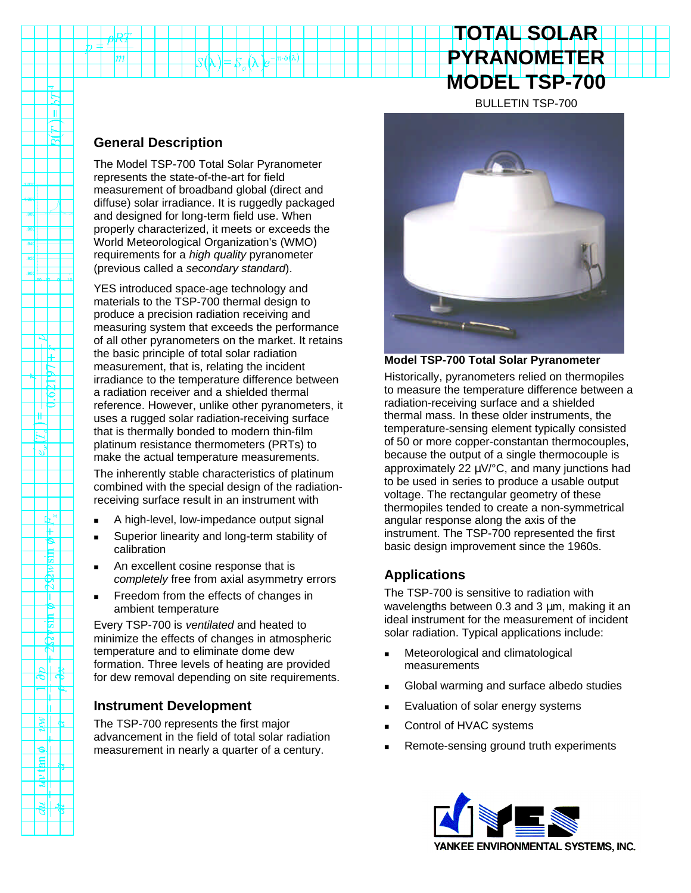# **TOTAL SOLAR PYRANOMETER MODEL TSP-700**

BULLETIN TSP-700

### **General Description**

 $|m|$ 

E  $\mathbf{u}$  $\sim$ ∖⊼

श्ल ╥ 15 ŤË TE TP ≝

 $\mathbb{Z}$ 

Тж F ۴ 惕  $29m$ Т E 茛  $\frac{1}{2}$ 

لى آلت

 $\|$ 

⊩ای  $\frac{1}{2}$ 

The Model TSP-700 Total Solar Pyranometer represents the state-of-the-art for field measurement of broadband global (direct and diffuse) solar irradiance. It is ruggedly packaged and designed for long-term field use. When properly characterized, it meets or exceeds the World Meteorological Organization's (WMO) requirements for a *high quality* pyranometer (previous called a *secondary standard*).

 $n \cdot \delta(\lambda)$ 

YES introduced space-age technology and materials to the TSP-700 thermal design to produce a precision radiation receiving and measuring system that exceeds the performance of all other pyranometers on the market. It retains the basic principle of total solar radiation measurement, that is, relating the incident irradiance to the temperature difference between a radiation receiver and a shielded thermal reference. However, unlike other pyranometers, it uses a rugged solar radiation-receiving surface that is thermally bonded to modern thin-film platinum resistance thermometers (PRTs) to make the actual temperature measurements.

The inherently stable characteristics of platinum combined with the special design of the radiationreceiving surface result in an instrument with

- A high-level, low-impedance output signal
- Superior linearity and long-term stability of calibration
- An excellent cosine response that is *completely* free from axial asymmetry errors
- Freedom from the effects of changes in ambient temperature

Every TSP-700 is *ventilated* and heated to minimize the effects of changes in atmospheric temperature and to eliminate dome dew formation. Three levels of heating are provided for dew removal depending on site requirements.

#### **Instrument Development**

The TSP-700 represents the first major advancement in the field of total solar radiation measurement in nearly a quarter of a century.



#### **Model TSP-700 Total Solar Pyranometer**

Historically, pyranometers relied on thermopiles to measure the temperature difference between a radiation-receiving surface and a shielded thermal mass. In these older instruments, the temperature-sensing element typically consisted of 50 or more copper-constantan thermocouples, because the output of a single thermocouple is approximately 22  $\mu$ V/ $\textdegree$ C, and many junctions had to be used in series to produce a usable output voltage. The rectangular geometry of these thermopiles tended to create a non-symmetrical angular response along the axis of the instrument. The TSP-700 represented the first basic design improvement since the 1960s.

# **Applications**

The TSP-700 is sensitive to radiation with wavelengths between 0.3 and 3 μm, making it an ideal instrument for the measurement of incident solar radiation. Typical applications include:

- Meteorological and climatological measurements
- Global warming and surface albedo studies
- Evaluation of solar energy systems
- Control of HVAC systems
- Remote-sensing ground truth experiments

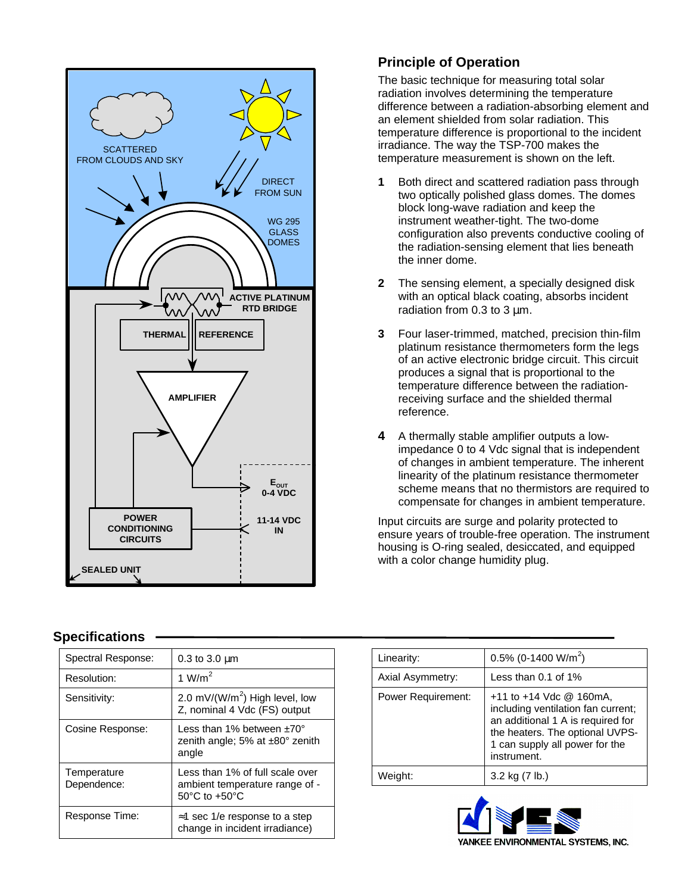

# **Principle of Operation**

The basic technique for measuring total solar radiation involves determining the temperature difference between a radiation-absorbing element and an element shielded from solar radiation. This temperature difference is proportional to the incident irradiance. The way the TSP-700 makes the temperature measurement is shown on the left.

- **1** Both direct and scattered radiation pass through two optically polished glass domes. The domes block long-wave radiation and keep the instrument weather-tight. The two-dome configuration also prevents conductive cooling of the radiation-sensing element that lies beneath the inner dome.
- **2** The sensing element, a specially designed disk with an optical black coating, absorbs incident radiation from 0.3 to  $3 \mu m$ .
- **3** Four laser-trimmed, matched, precision thin-film platinum resistance thermometers form the legs of an active electronic bridge circuit. This circuit produces a signal that is proportional to the temperature difference between the radiationreceiving surface and the shielded thermal reference.
- **4** A thermally stable amplifier outputs a lowimpedance 0 to 4 Vdc signal that is independent of changes in ambient temperature. The inherent linearity of the platinum resistance thermometer scheme means that no thermistors are required to compensate for changes in ambient temperature.

Input circuits are surge and polarity protected to ensure years of trouble-free operation. The instrument housing is O-ring sealed, desiccated, and equipped with a color change humidity plug.

#### **Specifications**

| Spectral Response:         | $0.3$ to $3.0 \mu m$                                                                                   |
|----------------------------|--------------------------------------------------------------------------------------------------------|
| Resolution:                | 1 W/m <sup>2</sup>                                                                                     |
| Sensitivity:               | 2.0 mV/(W/m <sup>2</sup> ) High level, low<br>Z, nominal 4 Vdc (FS) output                             |
| Cosine Response:           | Less than 1% between $+70^{\circ}$<br>zenith angle; 5% at $\pm$ 80° zenith<br>angle                    |
| Temperature<br>Dependence: | Less than 1% of full scale over<br>ambient temperature range of -<br>$50^{\circ}$ C to $+50^{\circ}$ C |
| Response Time:             | $\approx$ 1 sec 1/e response to a step<br>change in incident irradiance)                               |

| Linearity:                | 0.5% (0-1400 W/m <sup>2</sup> )                                                                                                                                                            |
|---------------------------|--------------------------------------------------------------------------------------------------------------------------------------------------------------------------------------------|
| Axial Asymmetry:          | Less than $0.1$ of $1\%$                                                                                                                                                                   |
| <b>Power Requirement:</b> | $+11$ to $+14$ Vdc @ 160mA,<br>including ventilation fan current;<br>an additional 1 A is required for<br>the heaters. The optional UVPS-<br>1 can supply all power for the<br>instrument. |
| Weight:                   | 3.2 kg (7 lb.)                                                                                                                                                                             |
|                           |                                                                                                                                                                                            |

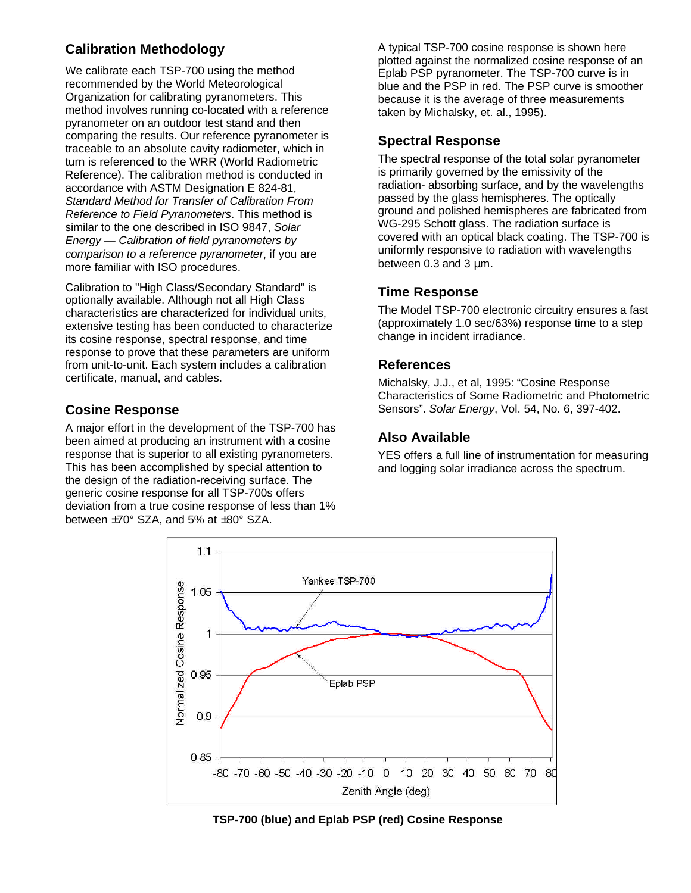# **Calibration Methodology**

We calibrate each TSP-700 using the method recommended by the World Meteorological Organization for calibrating pyranometers. This method involves running co-located with a reference pyranometer on an outdoor test stand and then comparing the results. Our reference pyranometer is traceable to an absolute cavity radiometer, which in turn is referenced to the WRR (World Radiometric Reference). The calibration method is conducted in accordance with ASTM Designation E 824-81, *Standard Method for Transfer of Calibration From Reference to Field Pyranometers*. This method is similar to the one described in ISO 9847, *Solar Energy — Calibration of field pyranometers by comparison to a reference pyranometer*, if you are more familiar with ISO procedures.

Calibration to "High Class/Secondary Standard" is optionally available. Although not all High Class characteristics are characterized for individual units, extensive testing has been conducted to characterize its cosine response, spectral response, and time response to prove that these parameters are uniform from unit-to-unit. Each system includes a calibration certificate, manual, and cables.

### **Cosine Response**

A major effort in the development of the TSP-700 has been aimed at producing an instrument with a cosine response that is superior to all existing pyranometers. This has been accomplished by special attention to the design of the radiation-receiving surface. The generic cosine response for all TSP-700s offers deviation from a true cosine response of less than 1% between ±70° SZA, and 5% at ±80° SZA.

A typical TSP-700 cosine response is shown here plotted against the normalized cosine response of an Eplab PSP pyranometer. The TSP-700 curve is in blue and the PSP in red. The PSP curve is smoother because it is the average of three measurements taken by Michalsky, et. al., 1995).

## **Spectral Response**

The spectral response of the total solar pyranometer is primarily governed by the emissivity of the radiation- absorbing surface, and by the wavelengths passed by the glass hemispheres. The optically ground and polished hemispheres are fabricated from WG-295 Schott glass. The radiation surface is covered with an optical black coating. The TSP-700 is uniformly responsive to radiation with wavelengths between 0.3 and 3 μm.

# **Time Response**

The Model TSP-700 electronic circuitry ensures a fast (approximately 1.0 sec/63%) response time to a step change in incident irradiance.

### **References**

Michalsky, J.J., et al, 1995: "Cosine Response Characteristics of Some Radiometric and Photometric Sensors". *Solar Energy*, Vol. 54, No. 6, 397-402.

# **Also Available**

YES offers a full line of instrumentation for measuring and logging solar irradiance across the spectrum.



**TSP-700 (blue) and Eplab PSP (red) Cosine Response**